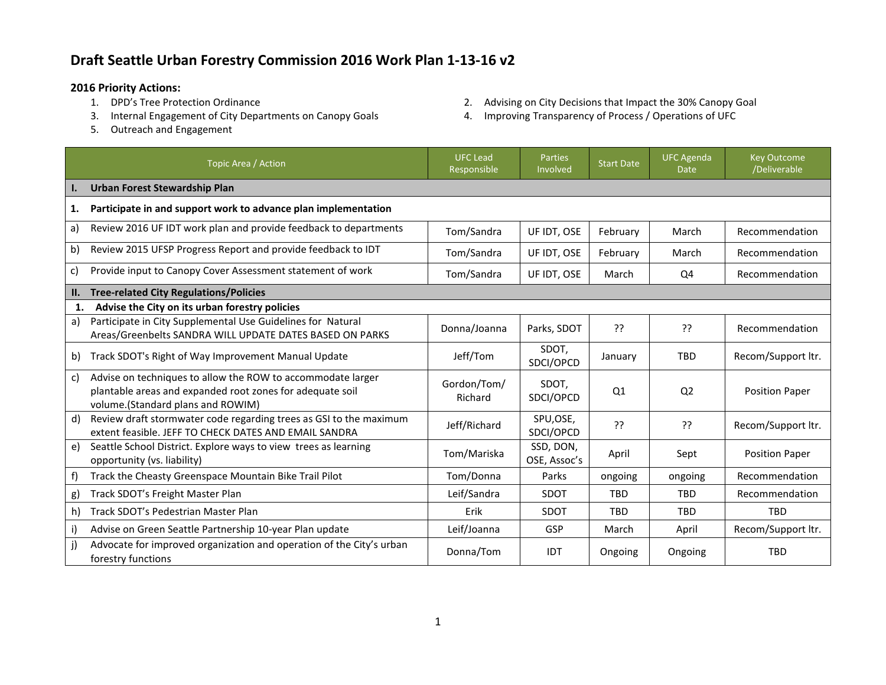## **Draft Seattle Urban Forestry Commission 2016 Work Plan 1-13-16 v2**

- **2016 Priority Actions:**
	- 3. Internal Engagement of City Departments on Canopy Goals 4. Improving Transparency of Process / Operations of UFC
	- 5. Outreach and Engagement
- 2. Advising on City Decisions that Impact the 30% Canopy Goal
- 

|     | Topic Area / Action                                                                                                                                           | <b>UFC Lead</b><br>Responsible | Parties<br>Involved       | <b>Start Date</b> | <b>UFC Agenda</b><br><b>Date</b> | <b>Key Outcome</b><br>/Deliverable |
|-----|---------------------------------------------------------------------------------------------------------------------------------------------------------------|--------------------------------|---------------------------|-------------------|----------------------------------|------------------------------------|
|     | <b>Urban Forest Stewardship Plan</b>                                                                                                                          |                                |                           |                   |                                  |                                    |
| 1.  | Participate in and support work to advance plan implementation                                                                                                |                                |                           |                   |                                  |                                    |
| a)  | Review 2016 UF IDT work plan and provide feedback to departments                                                                                              | Tom/Sandra                     | UF IDT, OSE               | February          | March                            | Recommendation                     |
| b)  | Review 2015 UFSP Progress Report and provide feedback to IDT                                                                                                  | Tom/Sandra                     | UF IDT, OSE               | February          | March                            | Recommendation                     |
| c)  | Provide input to Canopy Cover Assessment statement of work                                                                                                    | Tom/Sandra                     | UF IDT, OSE               | March             | Q4                               | Recommendation                     |
| II. | <b>Tree-related City Regulations/Policies</b>                                                                                                                 |                                |                           |                   |                                  |                                    |
| 1.  | Advise the City on its urban forestry policies                                                                                                                |                                |                           |                   |                                  |                                    |
| a)  | Participate in City Supplemental Use Guidelines for Natural<br>Areas/Greenbelts SANDRA WILL UPDATE DATES BASED ON PARKS                                       | Donna/Joanna                   | Parks, SDOT               | יִ                | יי                               | Recommendation                     |
| b)  | Track SDOT's Right of Way Improvement Manual Update                                                                                                           | Jeff/Tom                       | SDOT,<br>SDCI/OPCD        | January           | <b>TBD</b>                       | Recom/Support ltr.                 |
| c)  | Advise on techniques to allow the ROW to accommodate larger<br>plantable areas and expanded root zones for adequate soil<br>volume.(Standard plans and ROWIM) | Gordon/Tom/<br>Richard         | SDOT,<br>SDCI/OPCD        | Q1                | Q <sub>2</sub>                   | <b>Position Paper</b>              |
| d)  | Review draft stormwater code regarding trees as GSI to the maximum<br>extent feasible. JEFF TO CHECK DATES AND EMAIL SANDRA                                   | Jeff/Richard                   | SPU,OSE,<br>SDCI/OPCD     | ??                | ??                               | Recom/Support ltr.                 |
| e)  | Seattle School District. Explore ways to view trees as learning<br>opportunity (vs. liability)                                                                | Tom/Mariska                    | SSD, DON,<br>OSE, Assoc's | April             | Sept                             | <b>Position Paper</b>              |
| f)  | Track the Cheasty Greenspace Mountain Bike Trail Pilot                                                                                                        | Tom/Donna                      | Parks                     | ongoing           | ongoing                          | Recommendation                     |
| g)  | Track SDOT's Freight Master Plan                                                                                                                              | Leif/Sandra                    | <b>SDOT</b>               | <b>TBD</b>        | <b>TBD</b>                       | Recommendation                     |
| h)  | Track SDOT's Pedestrian Master Plan                                                                                                                           | Erik                           | SDOT                      | <b>TBD</b>        | <b>TBD</b>                       | <b>TBD</b>                         |
| i)  | Advise on Green Seattle Partnership 10-year Plan update                                                                                                       | Leif/Joanna                    | <b>GSP</b>                | March             | April                            | Recom/Support ltr.                 |
|     | Advocate for improved organization and operation of the City's urban<br>forestry functions                                                                    | Donna/Tom                      | <b>IDT</b>                | Ongoing           | Ongoing                          | <b>TBD</b>                         |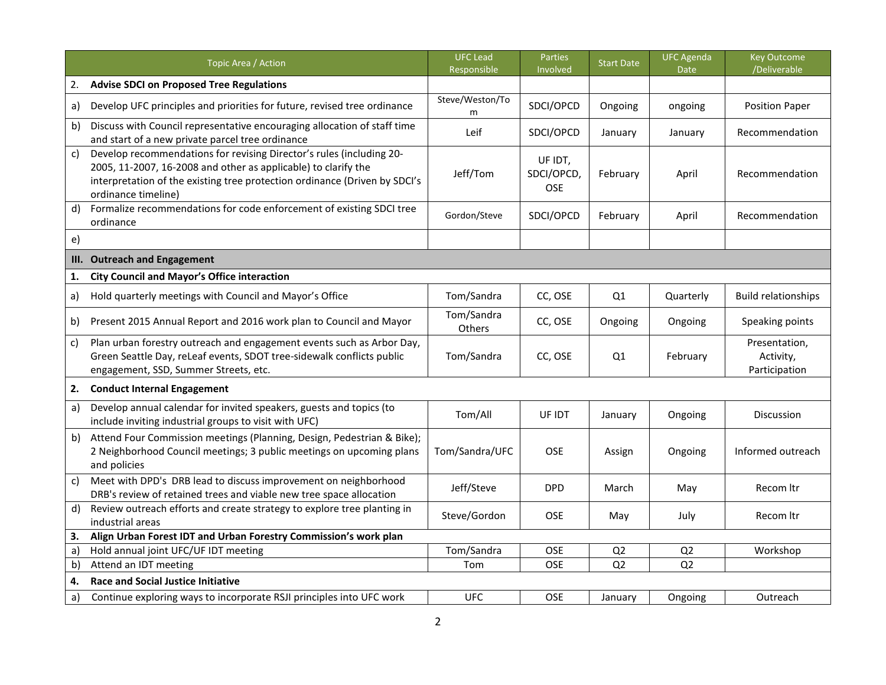|              | Topic Area / Action                                                                                                                                                                                                                         | <b>UFC Lead</b><br>Responsible | Parties<br>Involved                 | <b>Start Date</b> | <b>UFC Agenda</b><br><b>Date</b> | <b>Key Outcome</b><br>/Deliverable          |
|--------------|---------------------------------------------------------------------------------------------------------------------------------------------------------------------------------------------------------------------------------------------|--------------------------------|-------------------------------------|-------------------|----------------------------------|---------------------------------------------|
| 2.           | <b>Advise SDCI on Proposed Tree Regulations</b>                                                                                                                                                                                             |                                |                                     |                   |                                  |                                             |
| a)           | Develop UFC principles and priorities for future, revised tree ordinance                                                                                                                                                                    | Steve/Weston/To<br>m           | SDCI/OPCD                           | Ongoing           | ongoing                          | <b>Position Paper</b>                       |
| b)           | Discuss with Council representative encouraging allocation of staff time<br>and start of a new private parcel tree ordinance                                                                                                                | Leif                           | SDCI/OPCD                           | January           | January                          | Recommendation                              |
| $\mathsf{C}$ | Develop recommendations for revising Director's rules (including 20-<br>2005, 11-2007, 16-2008 and other as applicable) to clarify the<br>interpretation of the existing tree protection ordinance (Driven by SDCI's<br>ordinance timeline) | Jeff/Tom                       | UF IDT,<br>SDCI/OPCD,<br><b>OSE</b> | February          | April                            | Recommendation                              |
| d)           | Formalize recommendations for code enforcement of existing SDCI tree<br>ordinance                                                                                                                                                           | Gordon/Steve                   | SDCI/OPCD                           | February          | April                            | Recommendation                              |
| $\epsilon$   |                                                                                                                                                                                                                                             |                                |                                     |                   |                                  |                                             |
| III.         | <b>Outreach and Engagement</b>                                                                                                                                                                                                              |                                |                                     |                   |                                  |                                             |
| 1.           | <b>City Council and Mayor's Office interaction</b>                                                                                                                                                                                          |                                |                                     |                   |                                  |                                             |
| a)           | Hold quarterly meetings with Council and Mayor's Office                                                                                                                                                                                     | Tom/Sandra                     | CC, OSE                             | Q1                | Quarterly                        | <b>Build relationships</b>                  |
| b)           | Present 2015 Annual Report and 2016 work plan to Council and Mayor                                                                                                                                                                          | Tom/Sandra<br>Others           | CC, OSE                             | Ongoing           | Ongoing                          | Speaking points                             |
| c)           | Plan urban forestry outreach and engagement events such as Arbor Day,<br>Green Seattle Day, reLeaf events, SDOT tree-sidewalk conflicts public<br>engagement, SSD, Summer Streets, etc.                                                     | Tom/Sandra                     | CC, OSE                             | Q1                | February                         | Presentation,<br>Activity,<br>Participation |
| 2.           | <b>Conduct Internal Engagement</b>                                                                                                                                                                                                          |                                |                                     |                   |                                  |                                             |
| a)           | Develop annual calendar for invited speakers, guests and topics (to<br>include inviting industrial groups to visit with UFC)                                                                                                                | Tom/All                        | UF IDT                              | January           | Ongoing                          | Discussion                                  |
| b)           | Attend Four Commission meetings (Planning, Design, Pedestrian & Bike);<br>2 Neighborhood Council meetings; 3 public meetings on upcoming plans<br>and policies                                                                              | Tom/Sandra/UFC                 | OSE                                 | Assign            | Ongoing                          | Informed outreach                           |
| $\mathsf{C}$ | Meet with DPD's DRB lead to discuss improvement on neighborhood<br>DRB's review of retained trees and viable new tree space allocation                                                                                                      | Jeff/Steve                     | <b>DPD</b>                          | March             | May                              | Recom Itr                                   |
| d)           | Review outreach efforts and create strategy to explore tree planting in<br>industrial areas                                                                                                                                                 | Steve/Gordon                   | OSE                                 | May               | July                             | Recom Itr                                   |
| 3.           | Align Urban Forest IDT and Urban Forestry Commission's work plan                                                                                                                                                                            |                                |                                     |                   |                                  |                                             |
| a)           | Hold annual joint UFC/UF IDT meeting                                                                                                                                                                                                        | Tom/Sandra                     | OSE                                 | Q <sub>2</sub>    | Q <sub>2</sub>                   | Workshop                                    |
| b)           | Attend an IDT meeting                                                                                                                                                                                                                       | Tom                            | <b>OSE</b>                          | Q <sub>2</sub>    | Q2                               |                                             |
| 4.           | <b>Race and Social Justice Initiative</b>                                                                                                                                                                                                   |                                |                                     |                   |                                  |                                             |
| a)           | Continue exploring ways to incorporate RSJI principles into UFC work                                                                                                                                                                        | <b>UFC</b>                     | OSE                                 | January           | Ongoing                          | Outreach                                    |